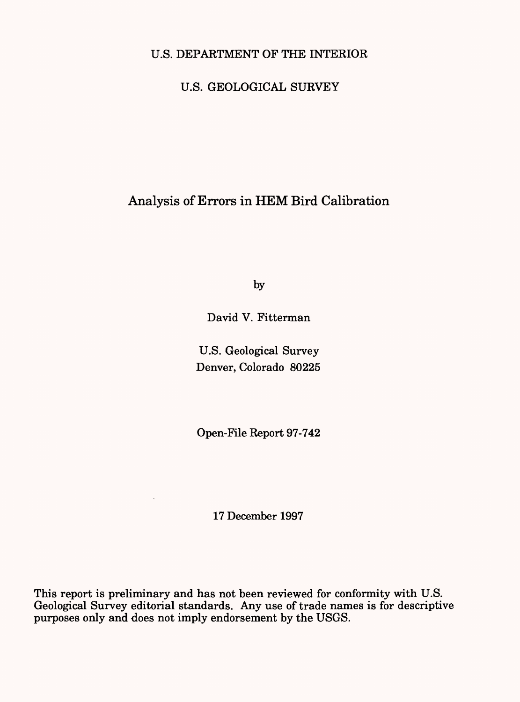# U.S. DEPARTMENT OF THE INTERIOR

# U.S. GEOLOGICAL SURVEY

# Analysis of Errors in HEM Bird Calibration

by

David V. Fitterman

U.S. Geological Survey Denver, Colorado 80225

Open-File Report 97-742

17 December 1997

This report is preliminary and has not been reviewed for conformity with U.S. Geological Survey editorial standards. Any use of trade names is for descriptive purposes only and does not imply endorsement by the USGS.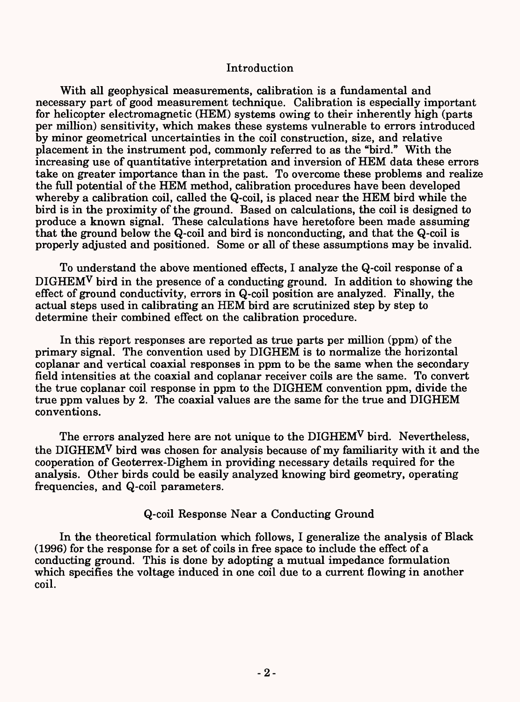### Introduction

With all geophysical measurements, calibration is a fundamental and necessary part of good measurement technique. Calibration is especially important for helicopter electromagnetic (HEM) systems owing to their inherently high (parts per million) sensitivity, which makes these systems vulnerable to errors introduced by minor geometrical uncertainties in the coil construction, size, and relative placement in the instrument pod, commonly referred to as the "bird." With the increasing use of quantitative interpretation and inversion of HEM data these errors take on greater importance than in the past. To overcome these problems and realize the full potential of the HEM method, calibration procedures have been developed whereby a calibration coil, called the Q-coil, is placed near the HEM bird while the bird is in the proximity of the ground. Based on calculations, the coil is designed to produce a known signal. These calculations have heretofore been made assuming that the ground below the Q-coil and bird is nonconducting, and that the Q-coil is properly adjusted and positioned. Some or all of these assumptions may be invalid.

To understand the above mentioned effects, I analyze the Q-coil response of a  $\text{DIGHEM}^{\mathbf{V}}$  bird in the presence of a conducting ground. In addition to showing the effect of ground conductivity, errors in Q-coil position are analyzed. Finally, the actual steps used in calibrating an HEM bird are scrutinized step by step to determine their combined effect on the calibration procedure.

In this report responses are reported as true parts per million (ppm) of the primary signal. The convention used by DIGHEM is to normalize the horizontal coplanar and vertical coaxial responses in ppm to be the same when the secondary field intensities at the coaxial and coplanar receiver coils are the same. To convert the true coplanar coil response in ppm to the DIGHEM convention ppm, divide the true ppm values by 2. The coaxial values are the same for the true and DIGHEM conventions.

The errors analyzed here are not unique to the DIGHEM<sup>V</sup> bird. Nevertheless, the DIGHEMV bird was chosen for analysis because of my familiarity with it and the cooperation of Geoterrex-Dighem in providing necessary details required for the analysis. Other birds could be easily analyzed knowing bird geometry, operating frequencies, and Q-coil parameters.

Q-coil Response Near a Conducting Ground

In the theoretical formulation which follows, I generalize the analysis of Black (1996) for the response for a set of coils in free space to include the effect of a conducting ground. This is done by adopting a mutual impedance formulation which specifies the voltage induced in one coil due to a current flowing in another coil.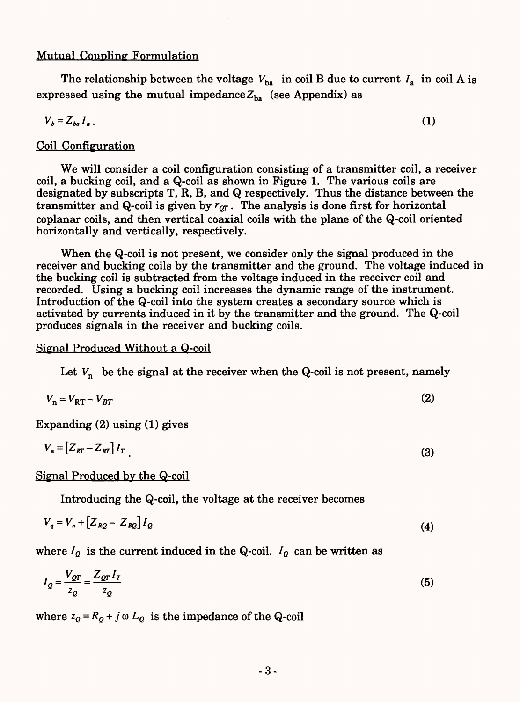### Mutual Coupling Formulation

The relationship between the voltage  $V_{ba}$  in coil B due to current  $I_a$  in coil A is expressed using the mutual impedance  $Z_{ba}$  (see Appendix) as

$$
V_b = Z_{ba} I_a \,. \tag{1}
$$

### Coil Configuration

We will consider a coil configuration consisting of a transmitter coil, a receiver coil, a bucking coil, and a Q-coil as shown in Figure 1. The various coils are designated by subscripts T, R, B, and Q respectively. Thus the distance between the transmitter and Q-coil is given by  $r_{qr}$ . The analysis is done first for horizontal coplanar coils, and then vertical coaxial coils with the plane of the Q-coil oriented horizontally and vertically, respectively.

When the Q-coil is not present, we consider only the signal produced in the receiver and bucking coils by the transmitter and the ground. The voltage induced in the bucking coil is subtracted from the voltage induced in the receiver coil and recorded. Using a bucking coil increases the dynamic range of the instrument. Introduction of the Q-coil into the system creates a secondary source which is activated by currents induced in it by the transmitter and the ground. The Q-coil produces signals in the receiver and bucking coils.

#### Signal Produced Without a Q-coil

Let  $V_n$  be the signal at the receiver when the Q-coil is not present, namely

$$
V_n = V_{RT} - V_{BT} \tag{2}
$$

Expanding (2) using (1) gives

$$
V_n = \left[ Z_{RT} - Z_{BT} \right] I_T \tag{3}
$$

Signal Produced by the Q-coil

Introducing the Q-coil, the voltage at the receiver becomes

$$
V_q = V_n + \left[ Z_{RQ} - Z_{BQ} \right] I_Q \tag{4}
$$

where  $I_Q$  is the current induced in the Q-coil.  $I_Q$  can be written as

$$
I_Q = \frac{V_{QT}}{z_Q} = \frac{Z_{QT} I_T}{z_Q} \tag{5}
$$

where  $z_Q = R_Q + j \omega L_Q$  is the impedance of the Q-coil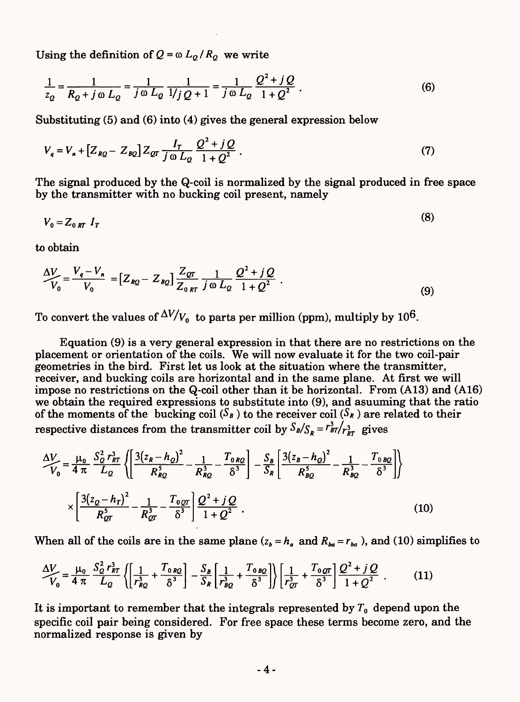Using the definition of  $Q = \omega L_q / R_q$  we write

$$
\frac{1}{z_Q} = \frac{1}{R_Q + j \omega L_Q} = \frac{1}{j \omega L_Q} \frac{1}{1/j \, Q + 1} = \frac{1}{j \omega L_Q} \frac{Q^2 + j Q}{1 + Q^2} \,. \tag{6}
$$

Substituting (5) and (6) into (4) gives the general expression below

$$
V_q = V_n + [Z_{RQ} - Z_{BQ}] Z_{QT} \frac{I_T}{j \omega L_Q} \frac{Q^2 + j Q}{1 + Q^2}.
$$
 (7)

The signal produced by the Q-coil is normalized by the signal produced in free space by the transmitter with no bucking coil present, namely

 $V_0 = Z_{0,RT} I_T$  (8)

to obtain

$$
\frac{\Delta V}{V_0} = \frac{V_q - V_n}{V_0} = \left[ Z_{RQ} - Z_{BQ} \right] \frac{Z_{QT}}{Z_{0RT}} \frac{1}{j \omega L_Q} \frac{Q^2 + j Q}{1 + Q^2} \ . \tag{9}
$$

To convert the values of  $\frac{\Delta V}{V_0}$  to parts per million (ppm), multiply by 10<sup>6</sup>.

Equation (9) is a very general expression in that there are no restrictions on the placement or orientation of the coils. We will now evaluate it for the two coil-pair geometries in the bird. First let us look at the situation where the transmitter, receiver, and bucking coils are horizontal and in the same plane. At first we will impose no restrictions on the Q-coil other than it be horizontal. From (A13) and (A16) we obtain the required expressions to substitute into (9), and asuuming that the ratio of the moments of the bucking coil  $(S_B)$  to the receiver coil  $(S_R)$  are related to their respective distances from the transmitter coil by  $S_B/S_R = r_{BT}^3/r_{BT}^3$  gives

$$
\frac{\Delta V}{V_0} = \frac{\mu_0}{4 \pi} \frac{S_Q^2 r_{RT}^3}{L_Q} \left\{ \left[ \frac{3(z_R - h_Q)^2}{R_{RQ}^5} - \frac{1}{R_{RQ}^3} - \frac{T_{0RQ}}{\delta^3} \right] - \frac{S_B}{S_R} \left[ \frac{3(z_B - h_Q)^2}{R_{RQ}^5} - \frac{1}{R_{RQ}^3} - \frac{T_{0RQ}}{\delta^3} \right] \right\}
$$
  
 
$$
\times \left[ \frac{3(z_Q - h_T)^2}{R_{QT}^5} - \frac{1}{R_{QT}^3} - \frac{T_{0QT}}{\delta^3} \right] \frac{Q^2 + jQ}{1 + Q^2} .
$$
 (10)

When all of the coils are in the same plane  $(z_b = h_a$  and  $R_{ba} = r_{ba}$ , and (10) simplifies to

$$
\frac{\Delta V}{V_0} = \frac{\mu_0}{4 \pi} \frac{S_Q^2 r_{RT}^3}{L_Q} \left\{ \left[ \frac{1}{r_{RQ}^3} + \frac{T_{0RQ}}{\delta^3} \right] - \frac{S_B}{S_R} \left[ \frac{1}{r_{BQ}^3} + \frac{T_{0BQ}}{\delta^3} \right] \right\} \left[ \frac{1}{r_{QT}^3} + \frac{T_{0QT}}{\delta^3} \right] \frac{Q^2 + jQ}{1 + Q^2} \quad . \tag{11}
$$

It is important to remember that the integrals represented by  $T_0$  depend upon the specific coil pair being considered. For free space these terms become zero, and the normalized response is given by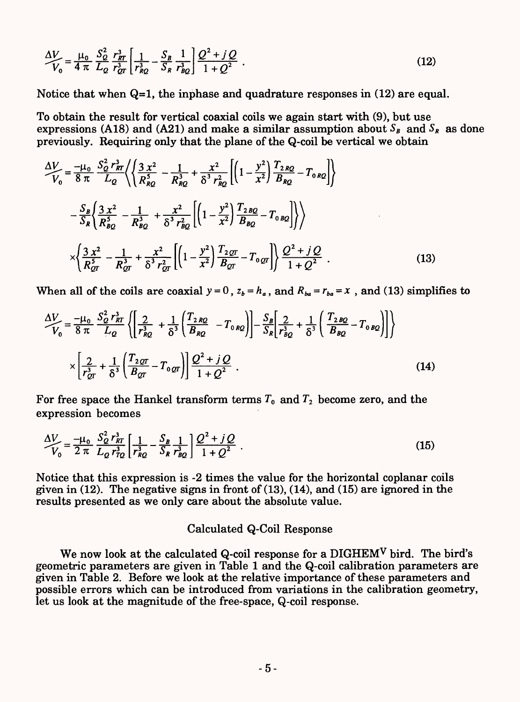$$
\frac{\Delta V}{V_0} = \frac{\mu_0}{4 \pi} \frac{S_Q^2}{L_Q} \frac{r_{RT}^3}{r_{QT}^3} \left[ \frac{1}{r_{RQ}^3} - \frac{S_B}{S_R} \frac{1}{r_{BQ}^3} \right] \frac{Q^2 + jQ}{1 + Q^2} \tag{12}
$$

Notice that when  $Q=1$ , the inphase and quadrature responses in (12) are equal.

To obtain the result for vertical coaxial coils we again start with (9), but use expressions (A18) and (A21) and make a similar assumption about  $S_B$  and  $S_R$  as done previously. Requiring only that the plane of the Q-coil be vertical we obtain

$$
\frac{\Delta V}{V_0} = \frac{-\mu_0}{8 \pi} \frac{S_Q^2 r_{RT}^3}{L_Q} \Biggl\langle \Biggl\{ \frac{3 x^2}{R_{RQ}^5} - \frac{1}{R_{RQ}^3} + \frac{x^2}{\delta^3 r_{RQ}^2} \Biggl[ \Biggl( 1 - \frac{y^2}{x^2} \Biggr) \frac{T_{2RQ}}{B_{RQ}} - T_{0RQ} \Biggr] \Biggr\rangle
$$
  

$$
- \frac{S_B}{S_R} \Biggl\langle \frac{3 x^2}{R_{BQ}^5} - \frac{1}{R_{BQ}^3} + \frac{x^2}{\delta^3 r_{BQ}^2} \Biggl[ \Biggl( 1 - \frac{y^2}{x^2} \Biggr) \frac{T_{2BQ}}{B_{BQ}} - T_{0BQ} \Biggr] \Biggr\rangle \Biggr\rangle
$$
  

$$
\times \Biggl\langle \frac{3 x^2}{R_{QT}^5} - \frac{1}{R_{QT}^3} + \frac{x^2}{\delta^3 r_{QT}^2} \Biggl[ \Biggl( 1 - \frac{y^2}{x^2} \Biggr) \frac{T_{2QT}}{B_{QT}} - T_{0QT} \Biggr] \Biggr\rangle \frac{Q^2 + jQ}{1 + Q^2} . \tag{13}
$$

When all of the coils are coaxial 
$$
y = 0
$$
,  $z_b = h_a$ , and  $R_{ba} = r_{ba} = x$ , and (13) simplifies to  
\n
$$
\frac{\Delta V}{V_0} = \frac{-\mu_0}{8 \pi} \frac{S_Q^2 r_{RT}^3}{L_Q} \left\{ \left[ \frac{2}{r_{RQ}^3} + \frac{1}{\delta^3} \left( \frac{T_{2RQ}}{B_{RQ}} - T_{0RQ} \right) \right] - \frac{S_B}{S_R} \left[ \frac{2}{r_{BQ}^3} + \frac{1}{\delta^3} \left( \frac{T_{2RQ}}{B_{RQ}} - T_{0RQ} \right) \right] \right\}
$$
\n
$$
\times \left[ \frac{2}{r_{QT}^3} + \frac{1}{\delta^3} \left( \frac{T_{2QT}}{B_{QT}} - T_{0QT} \right) \right] \frac{Q^2 + jQ}{1 + Q^2} \ . \tag{14}
$$

For free space the Hankel transform terms  $T_0$  and  $T_2$  become zero, and the expression becomes

$$
\frac{\Delta V}{V_0} = \frac{-\mu_0}{2 \pi} \frac{S_Q^2 r_{RT}^3}{L_Q r_{TQ}^3} \left[ \frac{1}{r_{RQ}^3} - \frac{S_B}{S_R} \frac{1}{r_{BQ}^3} \right] \frac{Q^2 + jQ}{1 + Q^2} \tag{15}
$$

Notice that this expression is -2 times the value for the horizontal coplanar coils given in  $(12)$ . The negative signs in front of  $(13)$ ,  $(14)$ , and  $(15)$  are ignored in the results presented as we only care about the absolute value.

#### Calculated Q-Coil Response

We now look at the calculated Q-coil response for a DIGHEM<sup>V</sup> bird. The bird's geometric parameters are given in Table 1 and the Q-coil calibration parameters are given in Table 2. Before we look at the relative importance of these parameters and possible errors which can be introduced from variations in the calibration geometry, let us look at the magnitude of the free-space, Q-coil response.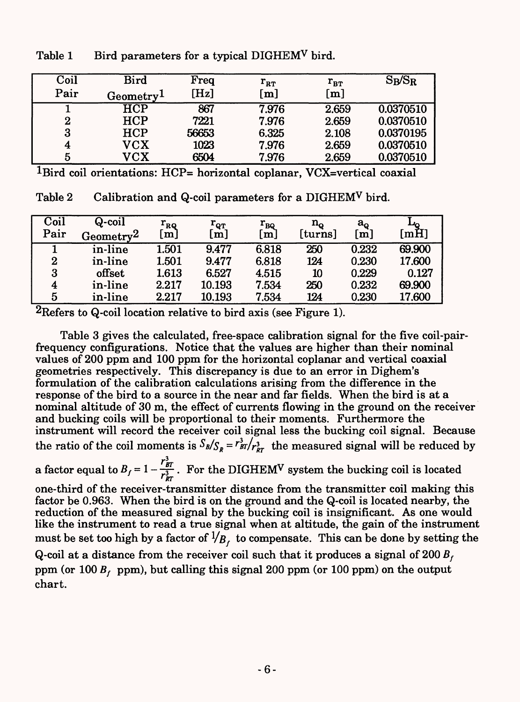| Coil     | <b>Bird</b>           | Freq            | $r_{\rm RT}$ | $r_{\text{BT}}$   | $S_B/S_R$ |
|----------|-----------------------|-----------------|--------------|-------------------|-----------|
| Pair     | Geometry <sup>1</sup> | $[\mathrm{Hz}]$ | [m]          | $\lceil m \rceil$ |           |
|          | <b>HCP</b>            | 867             | 7.976        | 2.659             | 0.0370510 |
| $\bf{2}$ | <b>HCP</b>            | 7221            | 7.976        | 2.659             | 0.0370510 |
| 3        | <b>HCP</b>            | 56653           | 6.325        | 2.108             | 0.0370195 |
| 4        | ${\rm VCX}$           | 1023            | 7.976        | 2.659             | 0.0370510 |
| 5        | ${\rm VCX}$           | 6504            | 7.976        | 2.659             | 0.0370510 |

Table 1 Bird parameters for a typical DIGHEMV bird.

 $1$ Bird coil orientations: HCP= horizontal coplanar, VCX=vertical coaxial

Table 2 Calibration and Q-coil parameters for a DIGHEMV bird.

| Coil<br>Pair | Q-coil<br>$\operatorname{Geometry2}$ | $\rm r_{_RQ}$<br>[m] | $\rm r_{\rm qT}$<br>$\lfloor m \rfloor$ | $\rm r_{\rm BQ}$<br>[m] | $\mathbf{n_{o}}$<br>$[\mathrm{turns}]$ | $a_{\rm o}$<br>$\bar{\bm{{\mathsf{m}}}}$ | $[\mathrm{mH}]$ |
|--------------|--------------------------------------|----------------------|-----------------------------------------|-------------------------|----------------------------------------|------------------------------------------|-----------------|
|              | in-line                              | 1.501                | 9.477                                   | 6.818                   | 250                                    | 0.232                                    | 69.900          |
| $\mathbf{2}$ | in-line                              | 1.501                | 9.477                                   | 6.818                   | 124                                    | 0.230                                    | 17.600          |
| 3            | offset                               | 1.613                | 6.527                                   | 4.515                   | 10                                     | 0.229                                    | 0.127           |
| 4            | in-line                              | 2.217                | 10.193                                  | 7.534                   | 250                                    | 0.232                                    | 69.900          |
| 5            | in-line                              | 2.217                | 10.193                                  | 7.534                   | 124                                    | 0.230                                    | 17.600          |

<sup>2</sup>Refers to Q-coil location relative to bird axis (see Figure 1).

Table 3 gives the calculated, free-space calibration signal for the five coil-pairfrequency configurations. Notice that the values are higher than their nominal values of 200 ppm and 100 ppm for the horizontal coplanar and vertical coaxial geometries respectively. This discrepancy is due to an error in Dighem's formulation of the calibration calculations arising from the difference in the response of the bird to a source in the near and far fields. When the bird is at a nominal altitude of 30 m, the effect of currents flowing in the ground on the receiver and bucking coils will be proportional to their moments. Furthermore the instrument will record the receiver coil signal less the bucking coil signal. Because the ratio of the coil moments is  $S_B/S_R = r_{BT}^3/r_{RT}^3$  the measured signal will be reduced by  $r_{\rm m}^3$ the ratio of the coil moments is  $\frac{3B}{S_R} = \frac{r_{BT}}{F_{RT}}$  the measured signal will be reduced<br>a factor equal to  $B_f = 1 - \frac{r_{BT}^3}{r_{RT}^3}$ . For the DIGHEM<sup>V</sup> system the bucking coil is located one-third of the receiver-transmitter distance from the transmitter coil making this factor be 0.963. When the bird is on the ground and the Q-coil is located nearby, the reduction of the measured signal by the bucking coil is insignificant. As one would like the instrument to read a true signal when at altitude, the gain of the instrument must be set too high by a factor of  $\frac{1}{B_f}$  to compensate. This can be done by setting the Q-coil at a distance from the receiver coil such that it produces a signal of  $200 B_f$ ppm (or  $100 B_f$  ppm), but calling this signal 200 ppm (or  $100$  ppm) on the output chart.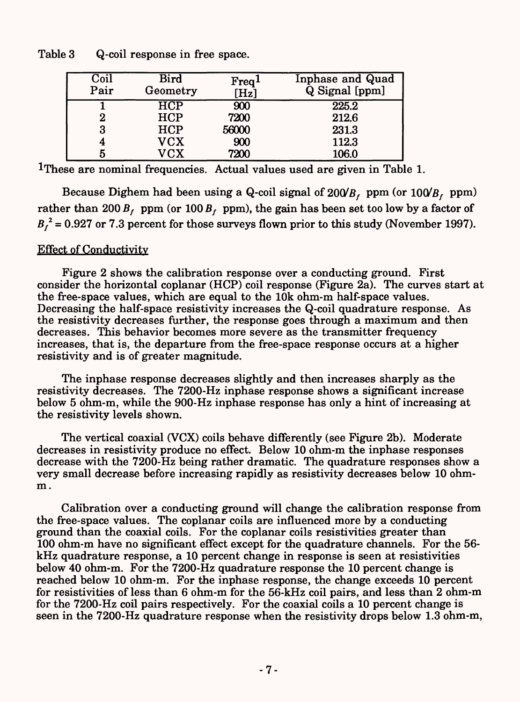Table 3 Q-coil response in free space.

| Coil<br>Pair | Bird<br>Geometry  | Freq <sup>1</sup><br>$[\mathrm{Hz}]$ | Inphase and Quad<br>Q Signal [ppm] |
|--------------|-------------------|--------------------------------------|------------------------------------|
|              | HCP               | 900                                  | 225.2                              |
| 2            | <b>HCP</b>        | 7200                                 | 212.6                              |
| 3            | <b>HCP</b>        | 56000                                | 231.3                              |
|              | <b>VCX</b>        | 900                                  | 112.3                              |
| 5            | ${\rm V}{\rm CX}$ | 7200                                 | 106.0                              |

<sup>1</sup>These are nominal frequencies. Actual values used are given in Table 1.

Because Dighem had been using a Q-coil signal of  $200/B_f$  ppm (or  $100/B_f$  ppm) rather than 200  $B_f$  ppm (or 100  $B_f$  ppm), the gain has been set too low by a factor of  $B_f^2$  = 0.927 or 7.3 percent for those surveys flown prior to this study (November 1997).

### Effect of Conductivity

Figure 2 shows the calibration response over a conducting ground. First consider the horizontal coplanar (HCP) coil response (Figure 2a). The curves start at the free-space values, which are equal to the 10k ohm-m half-space values. Decreasing the half-space resistivity increases the Q-coil quadrature response. As the resistivity decreases further, the response goes through a maximum and then decreases. This behavior becomes more severe as the transmitter frequency increases, that is, the departure from the free-space response occurs at a higher resistivity and is of greater magnitude.

The inphase response decreases slightly and then increases sharply as the resistivity decreases. The 7200-Hz inphase response shows a significant increase below 5 ohm-m, while the 900-Hz inphase response has only a hint of increasing at the resistivity levels shown.

The vertical coaxial (VCX) coils behave differently (see Figure 2b). Moderate decreases in resistivity produce no effect. Below 10 ohm-m the inphase responses decrease with the 7200-Hz being rather dramatic. The quadrature responses show a very small decrease before increasing rapidly as resistivity decreases below 10 ohmm.

Calibration over a conducting ground will change the calibration response from the free-space values. The coplanar coils are influenced more by a conducting ground than the coaxial coils. For the coplanar coils resistivities greater than 100 ohm-m have no significant effect except for the quadrature channels. For the 56 kHz quadrature response, a 10 percent change in response is seen at resistivities below 40 ohm-m. For the 7200-Hz quadrature response the 10 percent change is reached below 10 ohm-m. For the inphase response, the change exceeds 10 percent for resistivities of less than 6 ohm-m for the 56-kHz coil pairs, and less than 2 ohm-m for the 7200-Hz coil pairs respectively. For the coaxial coils a 10 percent change is seen in the 7200-Hz quadrature response when the resistivity drops below 1.3 ohm-m,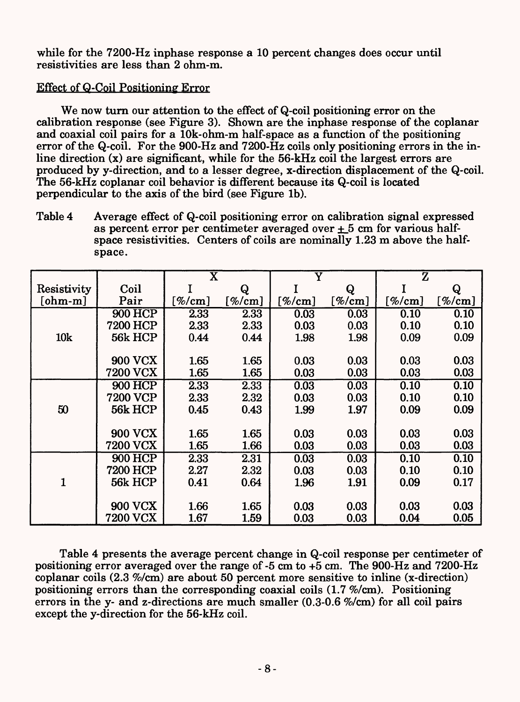while for the 7200-Hz inphase response a 10 percent changes does occur until resistivities are less than 2 ohm-m.

## Effect of Q-Coil Positioning Error

We now turn our attention to the effect of Q-coil positioning error on the calibration response (see Figure 3). Shown are the inphase response of the coplanar and coaxial coil pairs for a lOk-ohm-m half-space as a function of the positioning error of the Q-coil. For the 900-Hz and 7200-Hz coils only positioning errors in the inline direction (x) are significant, while for the 56-kHz coil the largest errors are produced by y-direction, and to a lesser degree, x-direction displacement of the Q-coil. The 56-kHz coplanar coil behavior is different because its Q-coil is located perpendicular to the axis of the bird (see Figure Ib).

Table 4 Average effect of Q-coil positioning error on calibration signal expressed as percent error per centimeter averaged over *±\_5* cm for various halfspace resistivities. Centers of coils are nominally 1.23 m above the halfspace.

|              |                 | $\overline{\text{X}}$ |                | $\overline{\text{Y}}$ |                    | Ž                  |                     |
|--------------|-----------------|-----------------------|----------------|-----------------------|--------------------|--------------------|---------------------|
| Resistivity  | Coil            |                       | Q              |                       | Q                  |                    | Q                   |
| $[ohm-m]$    | Pair            | [%/ $\rm cm$ ]        | [%/ $\rm cm$ ] | $[\%/\text{cm}]$      | $[\%/\mathrm{cm}]$ | $[\%/\mathrm{cm}]$ | [%/ $\mathbf{cm}$ ] |
|              | <b>900 HCP</b>  | 2.33                  | 2.33           | 0.03                  | 0.03               | 0.10               | 0.10                |
|              | 7200 HCP        | 2.33                  | 2.33           | 0.03                  | 0.03               | 0.10               | 0.10                |
| 10k          | 56k HCP         | 0.44                  | 0.44           | 1.98                  | 1.98               | 0.09               | 0.09                |
|              |                 |                       |                |                       |                    |                    |                     |
|              | <b>900 VCX</b>  | 1.65                  | 1.65           | 0.03                  | 0.03               | 0.03               | 0.03                |
|              | <b>7200 VCX</b> | 1.65                  | 1.65           | 0.03                  | 0.03               | 0.03               | 0.03                |
|              | <b>900 HCP</b>  | 2.33                  | 2.33           | 0.03                  | 0.03               | 0.10               | 0.10                |
|              | <b>7200 VCP</b> | 2.33                  | 2.32           | 0.03                  | 0.03               | 0.10               | 0.10                |
| 50           | 56k HCP         | 0.45                  | 0.43           | 1.99                  | 1.97               | 0.09               | 0.09                |
|              |                 |                       |                |                       |                    |                    |                     |
|              | <b>900 VCX</b>  | 1.65                  | 1.65           | 0.03                  | 0.03               | 0.03               | 0.03                |
|              | <b>7200 VCX</b> | 1.65                  | 1.66           | 0.03                  | 0.03               | 0.03               | 0.03                |
|              | <b>900 HCP</b>  | 2.33                  | 2.31           | 0.03                  | 0.03               | 0.10               | 0.10                |
|              | <b>7200 HCP</b> | 2.27                  | 2.32           | 0.03                  | 0.03               | 0.10               | 0.10                |
| $\mathbf{1}$ | 56k HCP         | 0.41                  | 0.64           | 1.96                  | 1.91               | 0.09               | 0.17                |
|              |                 |                       |                |                       |                    |                    |                     |
|              | <b>900 VCX</b>  | 1.66                  | 1.65           | 0.03                  | 0.03               | 0.03               | 0.03                |
|              | <b>7200 VCX</b> | 1.67                  | 1.59           | 0.03                  | 0.03               | 0.04               | 0.05                |

Table 4 presents the average percent change in Q-coil response per centimeter of positioning error averaged over the range of -5 cm to +5 cm. The 900-Hz and 7200-Hz coplanar coils (2.3 %/cm) are about 50 percent more sensitive to inline (x-direction) positioning errors than the corresponding coaxial coils (1.7 %/cm). Positioning errors in the y- and z-directions are much smaller (0.3-0.6 %/cm) for all coil pairs except the y-direction for the 56-kHz coil.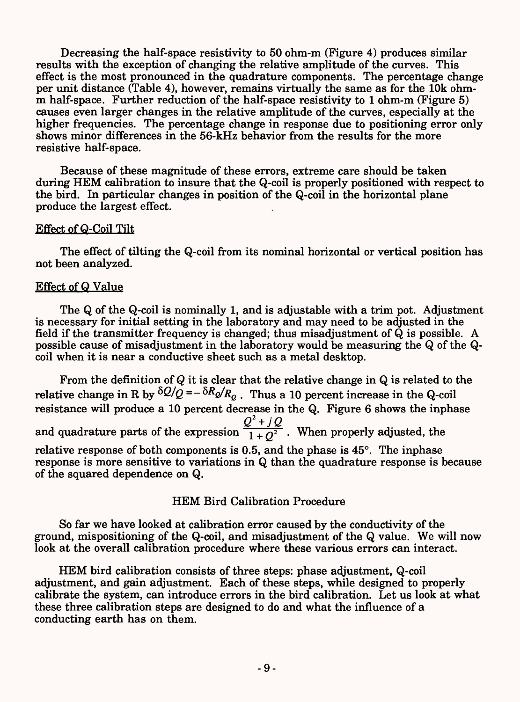Decreasing the half-space resistivity to 50 ohm-m (Figure 4) produces similar results with the exception of changing the relative amplitude of the curves. This effect is the most pronounced in the quadrature components. The percentage change per unit distance (Table 4), however, remains virtually the same as for the 10k ohmm half-space. Further reduction of the half-space resistivity to 1 ohm-m (Figure 5) causes even larger changes in the relative amplitude of the curves, especially at the higher frequencies. The percentage change in response due to positioning error only shows minor differences in the 56-kHz behavior from the results for the more resistive half-space.

Because of these magnitude of these errors, extreme care should be taken during HEM calibration to insure that the Q-coil is properly positioned with respect to the bird. In particular changes in position of the Q-coil in the horizontal plane produce the largest effect.

#### Effect of Q-Coil Tilt

The effect of tilting the Q-coil from its nominal horizontal or vertical position has not been analyzed.

### Effect of Q Value

The Q of the Q-coil is nominally 1, and is adjustable with a trim pot. Adjustment is necessary for initial setting in the laboratory and may need to be adjusted in the field if the transmitter frequency is changed; thus misadjustment of Q is possible. A possible cause of misadjustment in the laboratory would be measuring the Q of the Qcoil when it is near a conductive sheet such as a metal desktop.

From the definition of *Q* it is clear that the relative change in Q is related to the relative change in R by  $\delta Q/\tilde{Q} = -\delta R_Q/R_Q$ . Thus a 10 percent increase in the Q-coil resistance will produce a 10 percent decrease in the Q. Figure 6 shows the inphase  $Q^2 + jQ$ and quadrature parts of the expression  $\frac{\epsilon}{1+0^2}$ . When properly adjusted, the relative response of both components is 0.5, and the phase is 45°. The inphase response is more sensitive to variations in Q than the quadrature response is because of the squared dependence on Q.

#### HEM Bird Calibration Procedure

So far we have looked at calibration error caused by the conductivity of the ground, mispositioning of the Q-coil, and misadjustment of the Q value. We will now look at the overall calibration procedure where these various errors can interact.

HEM bird calibration consists of three steps: phase adjustment, Q-coil adjustment, and gain adjustment. Each of these steps, while designed to properly calibrate the system, can introduce errors in the bird calibration. Let us look at what these three calibration steps are designed to do and what the influence of a conducting earth has on them.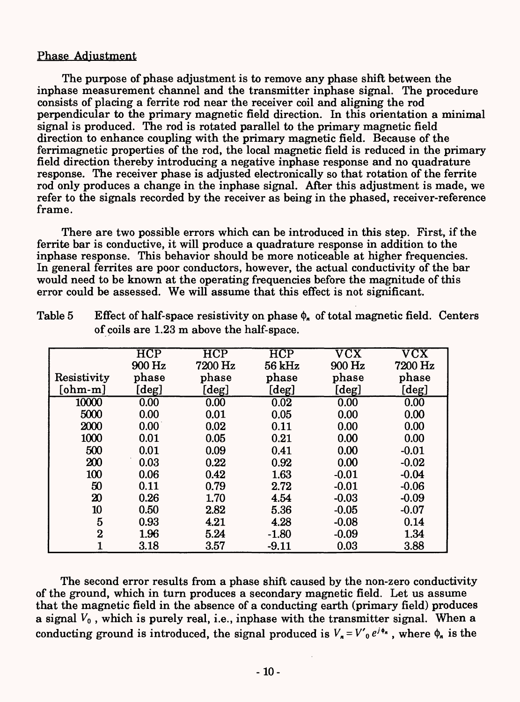### Phase Adjustment

The purpose of phase adjustment is to remove any phase shift between the inphase measurement channel and the transmitter inphase signal. The procedure consists of placing a ferrite rod near the receiver coil and aligning the rod perpendicular to the primary magnetic field direction. In this orientation a minimal signal is produced. The rod is rotated parallel to the primary magnetic field direction to enhance coupling with the primary magnetic field. Because of the ferrimagnetic properties of the rod, the local magnetic field is reduced in the primary field direction thereby introducing a negative inphase response and no quadrature response. The receiver phase is adjusted electronically so that rotation of the ferrite rod only produces a change in the inphase signal. After this adjustment is made, we refer to the signals recorded by the receiver as being in the phased, receiver-reference frame.

There are two possible errors which can be introduced in this step. First, if the ferrite bar is conductive, it will produce a quadrature response in addition to the inphase response. This behavior should be more noticeable at higher frequencies. In general ferrites are poor conductors, however, the actual conductivity of the bar would need to be known at the operating frequencies before the magnitude of this error could be assessed. We will assume that this effect is not significant.

|                             | $\overline{\text{HCP}}$ | <b>HCP</b>           | $\overline{\text{HCP}}$ | $\overline{\mathrm{v}\mathrm{c}\mathrm{x}}$ | $\overline{\mathrm{v}\mathrm{c}\mathrm{x}}$ |
|-----------------------------|-------------------------|----------------------|-------------------------|---------------------------------------------|---------------------------------------------|
|                             | 900 Hz                  | 7200 Hz              | 56 kHz                  | 900 Hz                                      | 7200 Hz                                     |
| Resistivity                 | phase                   | phase                | phase                   | phase                                       | phase                                       |
| [ohm-m]                     | [deg]                   | $\lbrack\deg\rbrack$ | [deg]                   | [deg]                                       | [deg]                                       |
| 10000                       | 0.00                    | 0.00                 | 0.02                    | 0.00                                        | 0.00                                        |
| 5000                        | 0.00                    | 0.01                 | 0.05                    | 0.00                                        | 0.00                                        |
| 2000                        | 0.00                    | 0.02                 | 0.11                    | 0.00                                        | 0.00                                        |
| 1000                        | 0.01                    | 0.05                 | 0.21                    | 0.00                                        | 0.00                                        |
| 500                         | 0.01                    | 0.09                 | 0.41                    | 0.00                                        | $-0.01$                                     |
| 200                         | 0.03                    | 0.22                 | 0.92                    | 0.00                                        | $-0.02$                                     |
| 100                         | 0.06                    | 0.42                 | 1.63                    | $-0.01$                                     | $-0.04$                                     |
| 50                          | 0.11                    | 0.79                 | 2.72                    | $-0.01$                                     | $-0.06$                                     |
| $\boldsymbol{\mathfrak{D}}$ | 0.26                    | 1.70                 | 4.54                    | $-0.03$                                     | $-0.09$                                     |
| 10                          | 0.50                    | 2.82                 | 5.36                    | $-0.05$                                     | $-0.07$                                     |
| $\overline{5}$              | 0.93                    | 4.21                 | 4.28                    | $-0.08$                                     | 0.14                                        |
| $\bf{2}$                    | 1.96                    | 5.24                 | $-1.80$                 | $-0.09$                                     | 1.34                                        |
|                             | 3.18                    | 3.57                 | $-9.11$                 | 0.03                                        | 3.88                                        |

Table 5 Effect of half-space resistivity on phase  $\phi_n$  of total magnetic field. Centers of coils are 1.23 m above the half-space.

The second error results from a phase shift caused by the non-zero conductivity of the ground, which in turn produces a secondary magnetic field. Let us assume that the magnetic field in the absence of a conducting earth (primary field) produces a signal  $V_0$ , which is purely real, i.e., inphase with the transmitter signal. When a conducting ground is introduced, the signal produced is  $V_n = V'_0 e^{j\phi_n}$ , where  $\phi_n$  is the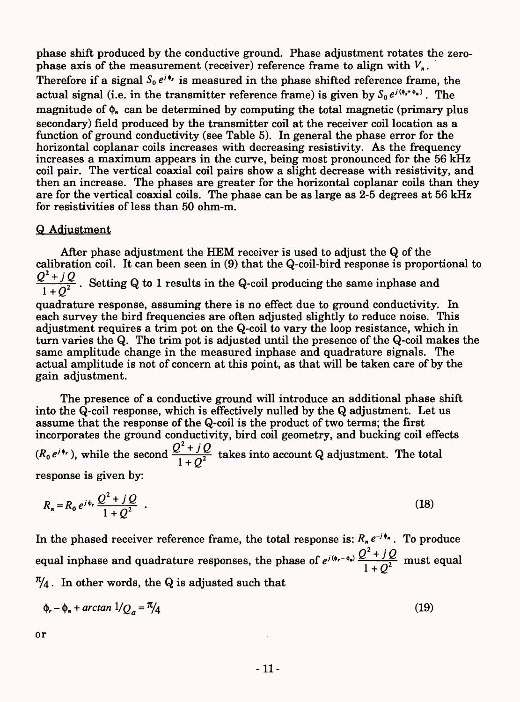phase shift produced by the conductive ground. Phase adjustment rotates the zerophase axis of the measurement (receiver) reference frame to align with  $V_n$ . Therefore if a signal  $S_0 e^{j\phi}$  is measured in the phase shifted reference frame, the actual signal (i.e. in the transmitter reference frame) is given by  $S_0 e^{i(\phi_r + \phi_n)}$ . The magnitude of  $\phi_n$  can be determined by computing the total magnetic (primary plus secondary) field produced by the transmitter coil at the receiver coil location as a function of ground conductivity (see Table 5). In general the phase error for the horizontal coplanar coils increases with decreasing resistivity. As the frequency increases a maximum appears in the curve, being most pronounced for the 56 kHz coil pair. The vertical coaxial coil pairs show a slight decrease with resistivity, and then an increase. The phases are greater for the horizontal coplanar coils than they are for the vertical coaxial coils. The phase can be as large as 2-5 degrees at 56 kHz for resistivities of less than 50 ohm-m.

### Q Adjustment

After phase adjustment the HEM receiver is used to adjust the Q of the calibration coil. It can been seen in (9) that the Q-coil-bird response is proportional to  $\frac{Q^2+jQ}{1+Q^2}$ . Setting Q to 1 results in the Q-coil producing the same inphase and quadrature response, assuming there is no effect due to ground conductivity. In each survey the bird frequencies are often adjusted slightly to reduce noise. This adjustment requires a trim pot on the Q-coil to vary the loop resistance, which in turn varies the Q. The trim pot is adjusted until the presence of the Q-coil makes the same amplitude change in the measured inphase and quadrature signals. The actual amplitude is not of concern at this point, as that will be taken care of by the gain adjustment.

The presence of a conductive ground will introduce an additional phase shift into the Q-coil response, which is effectively nulled by the Q adjustment. Let us assume that the response of the Q-coil is the product of two terms; the first incorporates the ground conductivity, bird coil geometry, and bucking coil effects  $(R_0 e^{j\phi_r})$ , while the second  $\frac{Q^2 + jQ}{1 + O^2}$  takes into account Q adjustment. The total response is given by:

$$
R_n = R_0 e^{j\phi_r} \frac{Q^2 + jQ}{1 + Q^2} \tag{18}
$$

In the phased receiver reference frame, the total response is:  $R_n e^{-j\phi_n}$ . To produce equal inphase and quadrature responses, the phase of  $e^{j(\phi_r - \phi_n)} \frac{Q^2 + jQ}{1 + \Omega^2}$  must equal  $\frac{\pi}{4}$ . In other words, the Q is adjusted such that

$$
\phi_r - \phi_n + \arctan \frac{1}{Q_a} = \frac{\pi}{4} \tag{19}
$$

or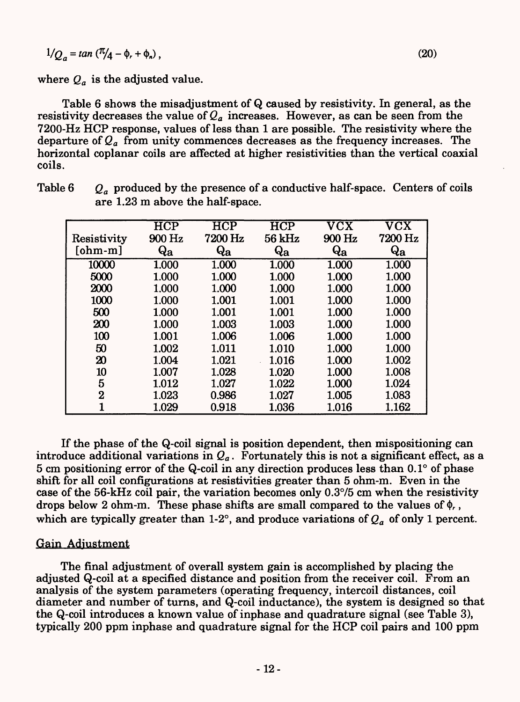$$
1/Q_a = \tan\left(\frac{\pi}{4} - \phi_r + \phi_n\right),
$$

where  $Q_a$  is the adjusted value.

Table 6 shows the misadjustment of Q caused by resistivity. In general, as the resistivity decreases the value of  $Q_a$  increases. However, as can be seen from the 7200-Hz HCP response, values of less than 1 are possible. The resistivity where the departure of *Qa* from unity commences decreases as the frequency increases. The horizontal coplanar coils are affected at higher resistivities than the vertical coaxial coils.

| Resistivity | $\overline{\text{HCP}}$<br>900 Hz | HCP<br>7200 Hz | <b>HCP</b><br>56 kHz | $\overline{\mathrm{VCX}}$<br>900 Hz | $\overline{\mathrm{VCX}}$<br>7200 Hz |
|-------------|-----------------------------------|----------------|----------------------|-------------------------------------|--------------------------------------|
| $[ohm-m]$   | Qa                                | $\bf{Q_a}$     | $\bf{Q_a}$           | $\bf{Q_a}$                          | Qa                                   |
| 10000       | 1.000                             | 1.000          | 1.000                | 1.000                               | 1.000                                |
| 5000        | 1.000                             | 1.000          | 1.000                | 1.000                               | 1.000                                |
| 2000        | 1.000                             | 1.000          | 1.000                | 1.000                               | 1.000                                |
| 1000        | 1.000                             | 1.001          | 1.001                | 1.000                               | 1.000                                |
| 500         | 1.000                             | 1.001          | 1.001                | 1.000                               | 1.000                                |
| 200         | 1.000                             | 1.003          | 1.003                | 1.000                               | 1.000                                |
| 100         | 1.001                             | 1.006          | 1.006                | 1.000                               | 1.000                                |
| 50          | 1.002                             | 1.011          | 1.010                | 1.000                               | 1.000                                |
| 20          | 1.004                             | 1.021          | 1.016                | 1.000                               | 1.002                                |
| 10          | 1.007                             | 1.028          | 1.020                | 1.000                               | 1.008                                |
| 5           | 1.012                             | 1.027          | 1.022                | 1.000                               | 1.024                                |
| $\bf{2}$    | 1.023                             | 0.986          | 1.027                | 1.005                               | 1.083                                |
| 1           | 1.029                             | 0.918          | 1.036                | 1.016                               | 1.162                                |

Table 6  $Q_a$  produced by the presence of a conductive half-space. Centers of coils are 1.23 m above the half-space.

If the phase of the Q-coil signal is position dependent, then mispositioning can introduce additional variations in  $Q_a$ . Fortunately this is not a significant effect, as a 5 cm positioning error of the Q-coil in any direction produces less than 0.1° of phase shift for all coil configurations at resistivities greater than 5 ohm-m. Even in the case of the 56-kHz coil pair, the variation becomes only 0.3°/5 cm when the resistivity drops below 2 ohm-m. These phase shifts are small compared to the values of  $\phi_r$ , which are typically greater than 1-2°, and produce variations of  $Q_a$  of only 1 percent.

#### Gain Adjustment

The final adjustment of overall system gain is accomplished by placing the adjusted Q-coil at a specified distance and position from the receiver coil. From an analysis of the system parameters (operating frequency, intercoil distances, coil diameter and number of turns, and Q-coil inductance), the system is designed so that the Q-coil introduces a known value of inphase and quadrature signal (see Table 3), typically 200 ppm inphase and quadrature signal for the HCP coil pairs and 100 ppm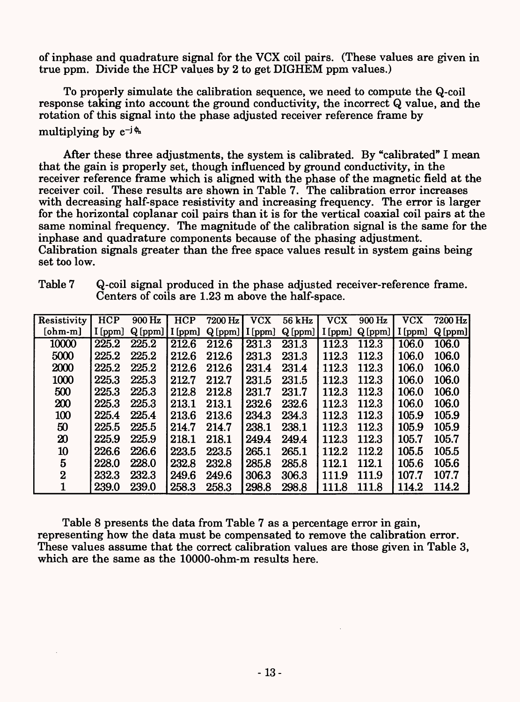of inphase and quadrature signal for the VCX coil pairs. (These values are given in true ppm. Divide the HCP values by 2 to get DIGHEM ppm values.)

To properly simulate the calibration sequence, we need to compute the Q-coil response taking into account the ground conductivity, the incorrect Q value, and the rotation of this signal into the phase adjusted receiver reference frame by multiplying by  $e^{-j \phi_n}$ 

After these three adjustments, the system is calibrated. By "calibrated" I mean that the gain is properly set, though influenced by ground conductivity, in the receiver reference frame which is aligned with the phase of the magnetic field at the receiver coil. These results are shown in Table 7. The calibration error increases with decreasing half-space resistivity and increasing frequency. The error is larger for the horizontal coplanar coil pairs than it is for the vertical coaxial coil pairs at the same nominal frequency. The magnitude of the calibration signal is the same for the inphase and quadrature components because of the phasing adjustment. Calibration signals greater than the free space values result in system gains being set too low.

| Resistivity | HCP       | 900 Hz          | <b>HCP</b> | $7200$ Hz       | <b>VCX</b> | 56 kHz  | <b>VCX</b> | 900 Hz              | <b>VCX</b> | 7200 Hz |
|-------------|-----------|-----------------|------------|-----------------|------------|---------|------------|---------------------|------------|---------|
| $[ohm-m]$   | $I$ [ppm] | $Q[ppm]$ [[ppm] |            | $Q[ppm]$ [[ppm] |            | Q [ppm] |            | $I$ [ppm] $Q$ [ppm] | I [ppm]    | Q[ppm]  |
| 10000       | 225.2     | 225.2           | 212.6      | 212.6           | 231.3      | 231.3   | 112.3      | 112.3               | 106.0      | 106.0   |
| 5000        | 225.2     | 225.2           | 212.6      | 212.6           | 231.3      | 231.3   | 112.3      | 112.3               | 106.0      | 106.0   |
| 2000        | 225.2     | 225.2           | 212.6      | 212.6           | 231.4      | 231.4   | 112.3      | 112.3               | 106.0      | 106.0   |
| 1000        | 225.3     | 225.3           | 212.7      | 212.7           | 231.5      | 231.5   | 112.3      | 112.3               | 106.0      | 106.0   |
| 500         | 225.3     | 225.3           | 212.8      | 212.8           | 231.7      | 231.7   | 112.3      | 112.3               | 106.0      | 106.0   |
| 200         | 225.3     | 225.3           | 213.1      | 213.1           | 232.6      | 232.6   | 112.3      | 112.3               | 106.0      | 106.0   |
| 100         | 225.4     | 225.4           | 213.6      | 213.6           | 234.3      | 234.3   | 112.3      | 112.3               | 105.9      | 105.9   |
| 50          | 225.5     | 225.5           | 214.7      | 214.7           | 238.1      | 238.1   | 112.3      | 112.3               | 105.9      | 105.9   |
| $20\,$      | 225.9     | 225.9           | 218.1      | 218.1           | 249.4      | 249.4   | 112.3      | 112.3               | 105.7      | 105.7   |
| 10          | 226.6     | 226.6           | 223.5      | 223.5           | 265.1      | 265.1   | 112.2      | 112.2               | 105.5      | 105.5   |
| 5           | 228.0     | 228.0           | 232.8      | 232.8           | 285.8      | 285.8   | 112.1      | 112.1               | 105.6      | 105.6   |
| $\bf{2}$    | 232.3     | 232.3           | 249.6      | 249.6           | 306.3      | 306.3   | 111.9      | 111.9               | 107.7      | 107.7   |
|             | 239.0     | 239.0           | 258.3      | 258.3           | 298.8      | 298.8   | 111.8      | 111.8               | 114.2      | 114.2   |

Table 7 Q-coil signal produced in the phase adjusted receiver-reference frame. Centers of coils are 1.23 m above the half-space.

Table 8 presents the data from Table 7 as a percentage error in gain, representing how the data must be compensated to remove the calibration error. These values assume that the correct calibration values are those given in Table 3, which are the same as the 10000-ohm-m results here.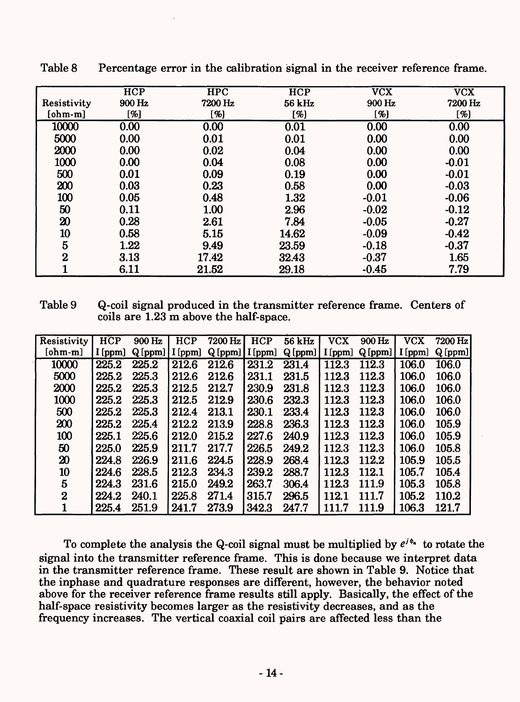|                  | <b>HCP</b> | <b>HPC</b> | $\overline{HCP}$ | <b>VCX</b> | <b>VCX</b> |
|------------------|------------|------------|------------------|------------|------------|
| Resistivity      | 900 Hz     | 7200 Hz    | 56 kHz           | 900 Hz     | 7200 Hz    |
| $[ohm-m]$        | [%]        | [%]        | [%]              | [%]        | [%]        |
| 10000            | 0.00       | 0.00       | 0.01             | 0.00       | 0.00       |
| 5000             | 0.00       | 0.01       | 0.01             | 0.00       | 0.00       |
| 2000             | 0.00       | 0.02       | 0.04             | 0.00       | 0.00       |
| 1000             | 0.00       | 0.04       | 0.08             | 0.00       | $-0.01$    |
| 500              | 0.01       | 0.09       | 0.19             | 0.00       | $-0.01$    |
| 200              | 0.03       | 0.23       | 0.58             | 0.00       | $-0.03$    |
| 100              | 0.05       | 0.48       | 1.32             | $-0.01$    | $-0.06$    |
| 50               | 0.11       | 1.00       | 2.96             | $-0.02$    | $-0.12$    |
| 20               | 0.28       | 2.61       | 7.84             | $-0.05$    | $-0.27$    |
| 10               | 0.58       | 5.15       | 14.62            | $-0.09$    | $-0.42$    |
| $5\phantom{.0}$  | 1.22       | 9.49       | 23.59            | $-0.18$    | $-0.37$    |
| $\boldsymbol{2}$ | 3.13       | 17.42      | 32.43            | $-0.37$    | 1.65       |
|                  | 6.11       | 21.52      | 29.18            | $-0.45$    | 7.79       |

Table 8 Percentage error in the calibration signal in the receiver reference frame.

Table 9 Q-coil signal produced in the transmitter reference frame. Centers of coils are 1.23 m above the half-space.

| Resistivity                 | <b>HCP</b> | 900 Hz | <b>HCP</b> | 7200 Hz        | <b>HCP</b> | 56 kHz | <b>VCX</b> | 900 Hz | <b>VCX</b> | 7200 Hz |
|-----------------------------|------------|--------|------------|----------------|------------|--------|------------|--------|------------|---------|
| $[ohm-m]$                   | I [ppm]    | Q[ppm] | I [ppm]    | Q[ppm] [I[ppm] |            | Q[ppm] | $I$ [ppm]  | Q[ppm] | I[ppm]     | Q[ppm]  |
| 10000                       | 225.2      | 225.2  | 212.6      | 212.6          | 231.2      | 231.4  | 112.3      | 112.3  | 106.0      | 106.0   |
| 5000                        | 225.2      | 225.3  | 212.6      | 212.6          | 231.1      | 231.5  | 112.3      | 112.3  | 106.0      | 106.0   |
| 2000                        | 225.2      | 225.3  | 212.5      | 212.7          | 230.9      | 231.8  | 112.3      | 112.3  | 106.0      | 106.0   |
| 1000                        | 225.2      | 225.3  | 212.5      | 212.9          | 230.6      | 232.3  | 112.3      | 112.3  | 106.0      | 106.0   |
| 500                         | 225.2      | 225.3  | 212.4      | 213.1          | 230.1      | 233.4  | 112.3      | 112.3  | 106.0      | 106.0   |
| 200                         | 225.2      | 225.4  | 212.2      | 213.9          | 228.8      | 236.3  | 112.3      | 112.3  | 106.0      | 105.9   |
| 100                         | 225.1      | 225.6  | 212.0      | 215.2          | 227.6      | 240.9  | 112.3      | 112.3  | 106.0      | 105.9   |
| 50                          | 225.0      | 225.9  | 211.7      | 217.7          | 226.5      | 249.2  | 112.3      | 112.3  | 106.0      | 105.8   |
| $\boldsymbol{\mathfrak{D}}$ | 224.8      | 226.9  | 211.6      | 224.5          | 228.9      | 268.4  | 112.3      | 112.2  | 105.9      | 105.5   |
| 10                          | 224.6      | 228.5  | 212.3      | 234.3          | 239.2      | 288.7  | 112.3      | 112.1  | 105.7      | 105.4   |
| 5                           | 224.3      | 231.6  | 215.0      | 249.2          | 263.7      | 306.4  | 112.3      | 111.9  | 105.3      | 105.8   |
| $\bf{2}$                    | 224.2      | 240.1  | 225.8      | 271.4          | 315.7      | 296.5  | 112.1      | 111.7  | 105.2      | 110.2   |
|                             | 225.4      | 251.9  | 241.7      | 273.9          | 342.3      | 247.7  | 111.7      | 111.9  | 106.3      | 121.7   |

To complete the analysis the Q-coil signal must be multiplied by  $e^{i\phi_n}$  to rotate the signal into the transmitter reference frame. This is done because we interpret data in the transmitter reference frame. These result are shown in Table 9. Notice that the inphase and quadrature responses are different, however, the behavior noted above for the receiver reference frame results still apply. Basically, the effect of the half-space resistivity becomes larger as the resistivity decreases, and as the frequency increases. The vertical coaxial coil pairs are affected less than the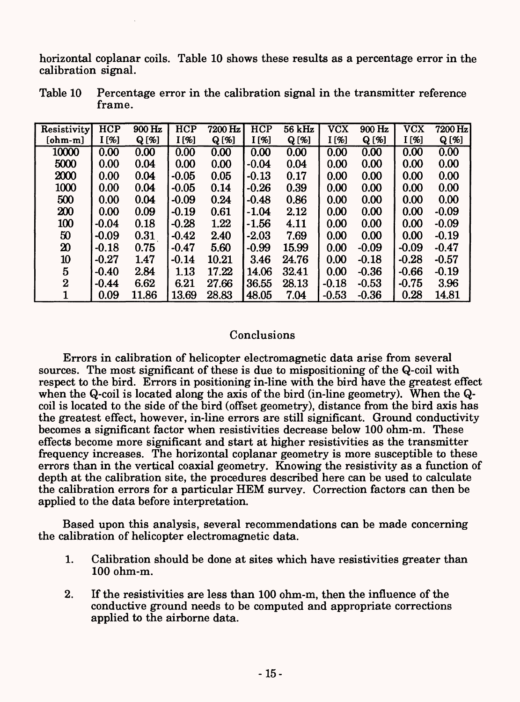horizontal coplanar coils. Table 10 shows these results as a percentage error in the calibration signal.

| Resistivity                 | <b>HCP</b> | 900 Hz   | <b>HCP</b> | 7200 Hz  | HCP     | $56$ kHz | <b>VCX</b> | 900 Hz   | <b>VCX</b> | 7200 Hz  |
|-----------------------------|------------|----------|------------|----------|---------|----------|------------|----------|------------|----------|
| $[ohm-m]$                   | $I($ %]    | $Q [\%]$ | $I($ %]    | $Q [\%]$ | I[%]    | $Q [\%]$ | I [%]      | $Q [\%]$ | I[%]       | $Q [\%]$ |
| 10000                       | 0.00       | 0.00     | 0.00       | 0.00     | 0.00    | 0.00     | 0.00       | 0.00     | 0.00       | 0.00     |
| 5000                        | 0.00       | 0.04     | 0.00       | 0.00     | $-0.04$ | 0.04     | 0.00       | 0.00     | 0.00       | 0.00     |
| 2000                        | 0.00       | 0.04     | $-0.05$    | 0.05     | $-0.13$ | 0.17     | 0.00       | 0.00     | 0.00       | 0.00     |
| 1000                        | 0.00       | 0.04     | $-0.05$    | 0.14     | $-0.26$ | 0.39     | 0.00       | 0.00     | 0.00       | 0.00     |
| 500                         | 0.00       | 0.04     | $-0.09$    | 0.24     | $-0.48$ | 0.86     | 0.00       | 0.00     | 0.00       | 0.00     |
| 200                         | 0.00       | 0.09     | $-0.19$    | 0.61     | $-1.04$ | 2.12     | 0.00       | 0.00     | 0.00       | $-0.09$  |
| 100                         | $-0.04$    | 0.18     | $-0.28$    | 1.22     | $-1.56$ | 4.11     | 0.00       | 0.00     | 0.00       | $-0.09$  |
| 50                          | $-0.09$    | 0.31     | $-0.42$    | 2.40     | $-2.03$ | 7.69     | 0.00       | 0.00     | 0.00       | $-0.19$  |
| $\boldsymbol{\mathfrak{D}}$ | $-0.18$    | 0.75     | $-0.47$    | 5.60     | $-0.99$ | 15.99    | 0.00       | $-0.09$  | $-0.09$    | $-0.47$  |
| 10                          | $-0.27$    | 1.47     | $-0.14$    | 10.21    | 3.46    | 24.76    | 0.00       | $-0.18$  | $-0.28$    | $-0.57$  |
| 5                           | $-0.40$    | 2.84     | 1.13       | 17.22    | 14.06   | 32.41    | 0.00       | $-0.36$  | $-0.66$    | $-0.19$  |
| $\overline{2}$              | $-0.44$    | 6.62     | 6.21       | 27.66    | 36.55   | 28.13    | $-0.18$    | $-0.53$  | $-0.75$    | 3.96     |
|                             | 0.09       | 11.86    | 13.69      | 28.83    | 48.05   | 7.04     | $-0.53$    | $-0.36$  | 0.28       | 14.81    |

Table 10 Percentage error in the calibration signal in the transmitter reference frame.

### Conclusions

Errors in calibration of helicopter electromagnetic data arise from several sources. The most significant of these is due to mispositioning of the Q-coil with respect to the bird. Errors in positioning in-line with the bird have the greatest effect when the Q-coil is located along the axis of the bird (in-line geometry). When the Qcoil is located to the side of the bird (offset geometry), distance from the bird axis has the greatest effect, however, in-line errors are still significant. Ground conductivity becomes a significant factor when resistivities decrease below 100 ohm-m. These effects become more significant and start at higher resistivities as the transmitter frequency increases. The horizontal coplanar geometry is more susceptible to these errors than in the vertical coaxial geometry. Knowing the resistivity as a function of depth at the calibration site, the procedures described here can be used to calculate the calibration errors for a particular HEM survey. Correction factors can then be applied to the data before interpretation.

Based upon this analysis, several recommendations can be made concerning the calibration of helicopter electromagnetic data.

- 1. Calibration should be done at sites which have resistivities greater than 100 ohm-m.
- 2. If the resistivities are less than 100 ohm-m, then the influence of the conductive ground needs to be computed and appropriate corrections applied to the airborne data.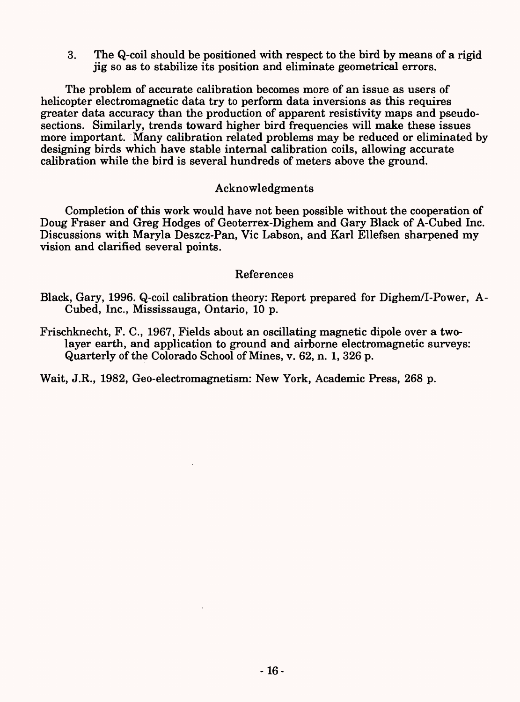3. The Q-coil should be positioned with respect to the bird by means of a rigid jig so as to stabilize its position and eliminate geometrical errors.

The problem of accurate calibration becomes more of an issue as users of helicopter electromagnetic data try to perform data inversions as this requires greater data accuracy than the production of apparent resistivity maps and pseudosections. Similarly, trends toward higher bird frequencies will make these issues more important. Many calibration related problems may be reduced or eliminated by designing birds which have stable internal calibration coils, allowing accurate calibration while the bird is several hundreds of meters above the ground.

### Acknowledgments

Completion of this work would have not been possible without the cooperation of Doug Fraser and Greg Hodges of Geoterrex-Dighem and Gary Black of A-Cubed Inc. Discussions with Maryla Deszcz-Pan, Vie Labson, and Karl Ellefsen sharpened my vision and clarified several points.

### References

- Black, Gary, 1996. Q-coil calibration theory: Report prepared for Dighem/I-Power, A-Cubed, Inc., Mississauga, Ontario, 10 p.
- Frischknecht, F. C., 1967, Fields about an oscillating magnetic dipole over a twolayer earth, and application to ground and airborne electromagnetic surveys: Quarterly of the Colorado School of Mines, v. 62, n. 1, 326 p.

Wait, J.R., 1982, Geo-electromagnetism: New York, Academic Press, 268 p.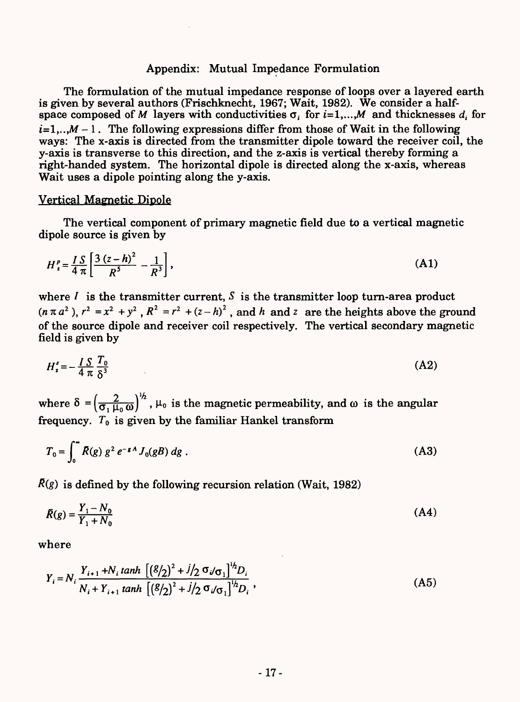### Appendix: Mutual Impedance Formulation

The formulation of the mutual impedance response of loops over a layered earth is given by several authors (Frischknecht, 1967; Wait, 1982). We consider a halfspace composed of M layers with conductivities  $\sigma_i$  for  $i=1,...,M$  and thicknesses  $d_i$  for  $i=1,..,M-1$ . The following expressions differ from those of Wait in the following ways: The x-axis is directed from the transmitter dipole toward the receiver coil, the y-axis is transverse to this direction, and the z-axis is vertical thereby forming a right-handed system. The horizontal dipole is directed along the x-axis, whereas Wait uses a dipole pointing along the y-axis.

#### Vertical Magnetic Dipole

The vertical component of primary magnetic field due to a vertical magnetic dipole source is given by

$$
H_z^p = \frac{IS}{4\pi} \left[ \frac{3(z-h)^2}{R^5} - \frac{1}{R^3} \right],
$$
 (A1)

where  $I$  is the transmitter current,  $S$  is the transmitter loop turn-area product  $(n \pi a^2)$ ,  $r^2 = x^2 + y^2$ ,  $R^2 = r^2 + (z - h)^2$ , and *h* and *z* are the heights above the ground of the source dipole and receiver coil respectively. The vertical secondary magnetic field is given by

$$
H_z^s = -\frac{I S}{4 \pi} \frac{T_0}{\delta^3} \tag{A2}
$$

 $\mathcal{L}$  $\frac{2}{\sigma$ ,  $\mu$ <sub>o</sub>  $\omega$ <sup>)</sup><sup>'</sup>,  $\mu$ <sub>o</sub> is the magnetic permeability, and  $\omega$  is the angular frequency.  $T_0$  is given by the familiar Hankel transform

$$
T_0 = \int_0^{\infty} \bar{R}(g) g^2 e^{-gA} J_0(gB) dg .
$$
 (A3)

 $\bar{R}(g)$  is defined by the following recursion relation (Wait, 1982)

$$
\bar{R}(g) = \frac{Y_1 - N_0}{Y_1 + N_0} \tag{A4}
$$

where

$$
Y_{i} = N_{i} \frac{Y_{i+1} + N_{i} \tanh \left[ \left( \frac{g}{2} \right)^{2} + j / 2 \sigma_{i} / \sigma_{1} \right]^{1/2} D_{i}}{N_{i} + Y_{i+1} \tanh \left[ \left( \frac{g}{2} \right)^{2} + j / 2 \sigma_{i} / \sigma_{1} \right]^{1/2} D_{i}},
$$
\n(A5)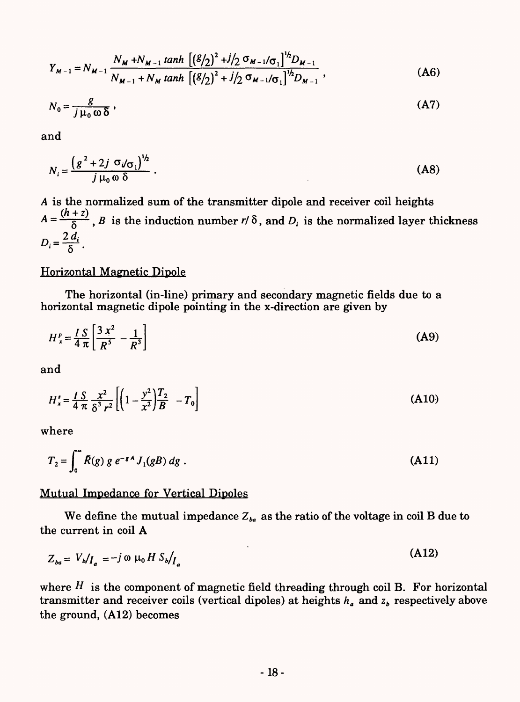$$
Y_{M-1} = N_{M-1} \frac{N_M + N_{M-1} \tanh \left[ \left( \frac{g}{2} \right)^2 + j/2 \sigma_{M-1} / \sigma_1 \right]^{1/2} D_{M-1}}{N_{M-1} + N_M \tanh \left[ \left( \frac{g}{2} \right)^2 + j/2 \sigma_{M-1} / \sigma_1 \right]^{1/2} D_{M-1}},
$$
(A6)

$$
N_0 = \frac{g}{j \mu_0 \omega \delta} \,, \tag{A7}
$$

and

$$
N_i = \frac{\left(g^2 + 2j \sigma_i/\sigma_1\right)^{1/2}}{j \mu_0 \omega \delta} \,. \tag{A8}
$$

is the normalized sum of the transmitter dipole and receiver coil heights  $A = \frac{(h+z)}{\delta}$ , *B* is the induction number *r/*  $\delta$ , and *D<sub>i</sub>* is the normalized layer thickness  $D_i = \frac{2 d_i}{\delta}$ .

#### Horizontal Magnetic Dipole

The horizontal (in-line) primary and secondary magnetic fields due to a horizontal magnetic dipole pointing in the x-direction are given by

$$
H_{x}^{p} = \frac{I S}{4 \pi} \left[ \frac{3 x^{2}}{R^{5}} - \frac{1}{R^{3}} \right]
$$
 (A9)

and

$$
H_x^s = \frac{I S}{4 \pi} \frac{x^2}{\delta^3 r^2} \left[ \left( 1 - \frac{y^2}{x^2} \right) \frac{T_2}{B} - T_0 \right]
$$
 (A10)

where

$$
T_2 = \int_0^\infty \bar{R}(g) g e^{-\epsilon A} J_1(gB) dg . \tag{A11}
$$

### Mutual Impedance for Vertical Dipoles

We define the mutual impedance  $Z_{ba}$  as the ratio of the voltage in coil B due to the current in coil A

$$
Z_{ba} = V_b / I_a = -j \omega \mu_0 H S_b / I_a \tag{A12}
$$

where *H* is the component of magnetic field threading through coil B. For horizontal transmitter and receiver coils (vertical dipoles) at heights  $h_a$  and  $z_b$  respectively above the ground, (A12) becomes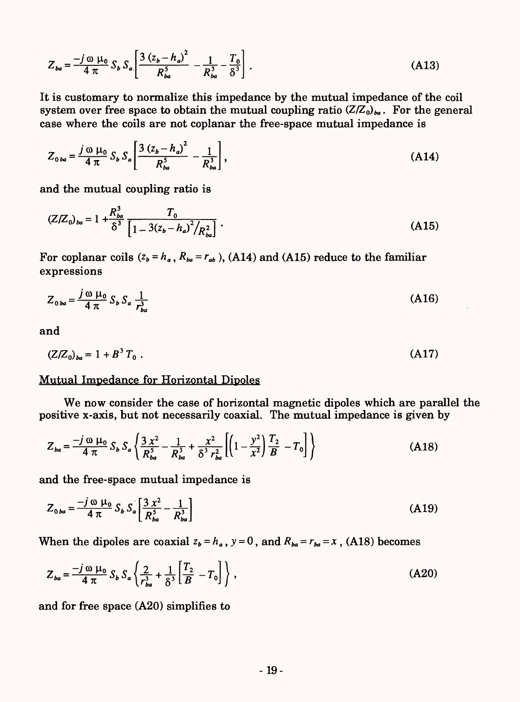$$
Z_{ba} = \frac{-j \omega \mu_0}{4 \pi} S_b S_a \left[ \frac{3 (z_b - h_a)^2}{R_{ba}^5} - \frac{1}{R_{ba}^3} - \frac{T_0}{\delta^3} \right].
$$
 (A13)

It is customary to normalize this impedance by the mutual impedance of the coil system over free space to obtain the mutual coupling ratio  $(Z/Z_0)_{ba}$ . For the general case where the coils are not coplanar the free-space mutual impedance is

$$
Z_{0ba} = \frac{j \omega \mu_0}{4 \pi} S_b S_a \left[ \frac{3 (z_b - h_a)^2}{R_{ba}^5} - \frac{1}{R_{ba}^3} \right],
$$
 (A14)

and the mutual coupling ratio is

$$
(Z/Z_0)_{ba} = 1 + \frac{R_{ba}^3}{\delta^3} \frac{T_0}{\left[1 - 3(z_b - h_a)^2 / R_{ba}^2\right]} \,. \tag{A15}
$$

For coplanar coils  $(z_b = h_a, R_{ba} = r_{ab})$ , (A14) and (A15) reduce to the familiar expressions

$$
Z_{0ba} = \frac{j \omega \mu_0}{4 \pi} S_b S_a \frac{1}{r_{ba}^3} \tag{A16}
$$

and

$$
(Z/Z_0)_{ba} = 1 + B^3 T_0 \tag{A17}
$$

### Mutual Impedance for Horizontal Dipoles

We now consider the case of horizontal magnetic dipoles which are parallel the positive x-axis, but not necessarily coaxial. The mutual impedance is given by

$$
Z_{ba} = \frac{-j \omega \mu_0}{4 \pi} S_b S_a \left\{ \frac{3 x^2}{R_{ba}^5} - \frac{1}{R_{ba}^3} + \frac{x^2}{\delta^3 r_{ba}^2} \left[ \left( 1 - \frac{y^2}{x^2} \right) \frac{T_2}{B} - T_0 \right] \right\}
$$
(A18)

and the free-space mutual impedance is

$$
Z_{0ba} = \frac{-j \omega \mu_0}{4 \pi} S_b S_a \left[ \frac{3 x^2}{R_{ba}^5} - \frac{1}{R_{ba}^3} \right]
$$
 (A19)

When the dipoles are coaxial  $z_b = h_a$ ,  $y = 0$ , and  $R_{ba} = r_{ba} = x$ , (A18) becomes

$$
Z_{ba} = \frac{-j \omega \mu_0}{4 \pi} S_b S_a \left\{ \frac{2}{r_{ba}^3} + \frac{1}{\delta^3} \left[ \frac{T_2}{B} - T_0 \right] \right\},
$$
 (A20)

and for free space (A20) simplifies to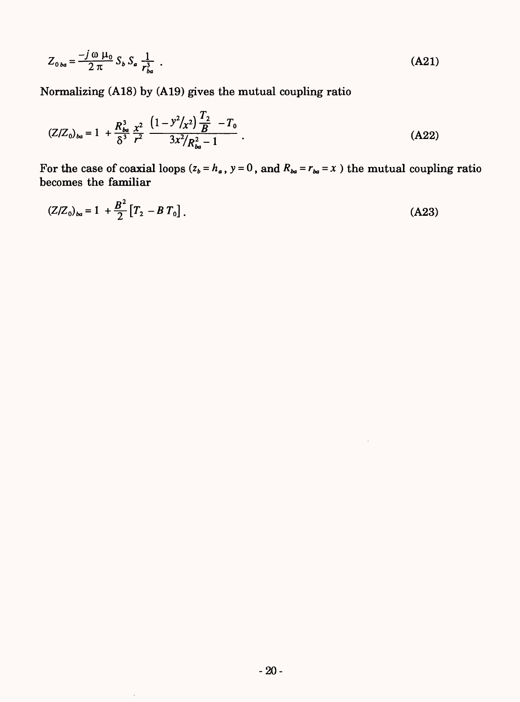$$
Z_{0ba} = \frac{-j \omega \mu_0}{2 \pi} S_b S_a \frac{1}{r_{ba}^3} \tag{A21}
$$

Normalizing (A18) by (A19) gives the mutual coupling ratio

 $\mathbf{r}$ 

 $\hat{\boldsymbol{\beta}}$ 

$$
(Z/Z_0)_{ba} = 1 + \frac{R_{ba}^3}{\delta^3} \frac{x^2}{r^2} \frac{\left(1 - y^2 / x^2\right) \frac{T_2}{B} - T_0}{3x^2 / R_{ba}^2 - 1} \,. \tag{A22}
$$

For the case of coaxial loops  $(z_b = h_a)$ ,  $y = 0$ , and  $R_{ba} = r_{ba} = x$  ) the mutual coupling ratio becomes the familiar

$$
(Z/Z_0)_{ba} = 1 + \frac{B^2}{2} [T_2 - B T_0].
$$
 (A23)

 $\hat{\boldsymbol{\gamma}}$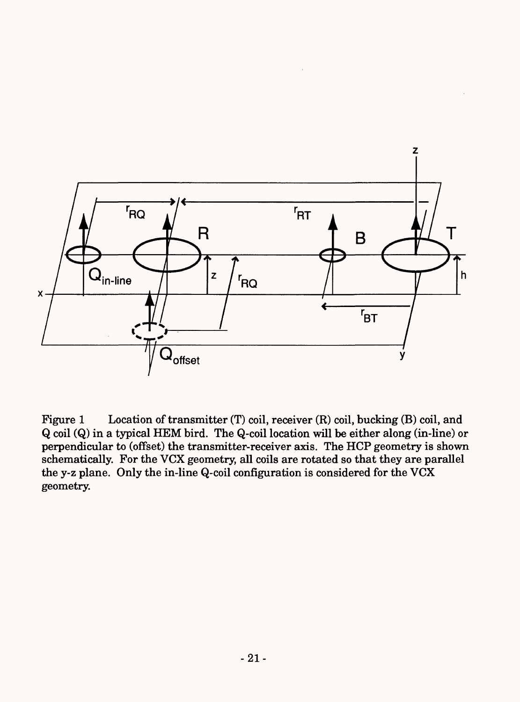

Figure 1 Location of transmitter (T) coil, receiver (R) coil, bucking (B) coil, and Q coil (Q) in a typical HEM bird. The Q-coil location will be either along (in-line) or perpendicular to (offset) the transmitter-receiver axis. The HCP geometry is shown schematically. For the VCX geometry, all coils are rotated so that they are parallel the y-z plane. Only the in-line Q-coil configuration is considered for the VCX geometry.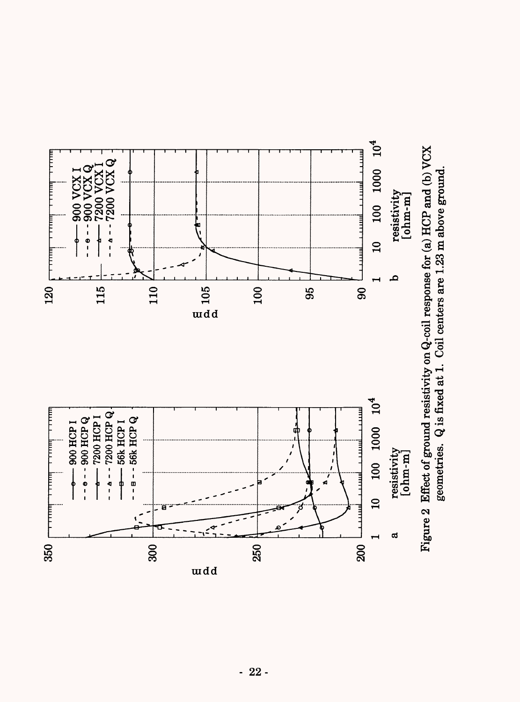

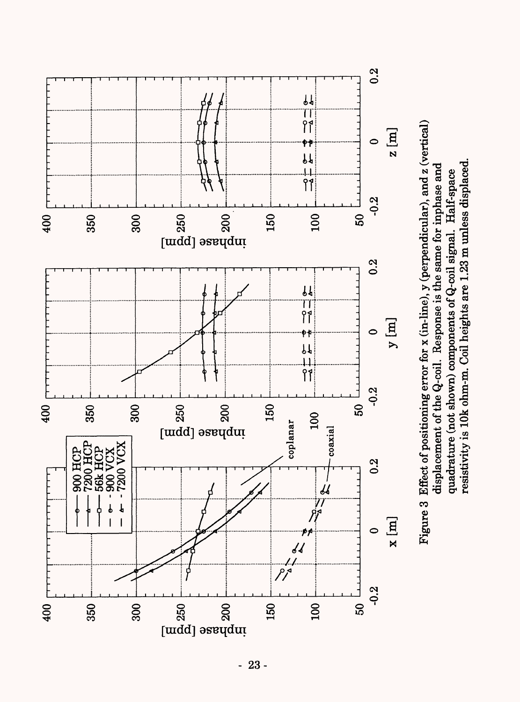

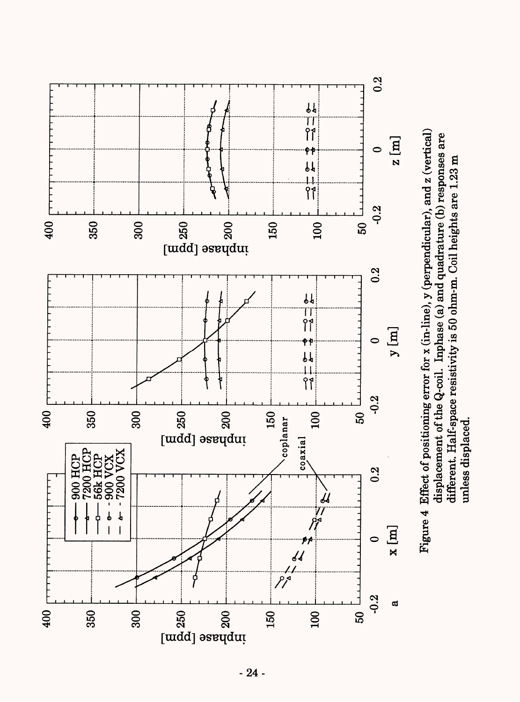

Figure 4 Effect of positioning error for *x* (in-line), y (perpendicular), and z (vertical) Figure 4 Effect of positioning error for x (in-line), y (perpendicular), and z (vertical) displacement of the Q-coil. Inphase (a) and quadrature (b) responses are displacement of the Q-coil. Inphase (a) and quadrature (b) responses are different. Half-space resistivity is 50 ohm-m. Coil heights are 1.23 m different. Half-space resistivity is 50 ohm-m. Coil heights are 1.23 m unless displaced. unless displaced.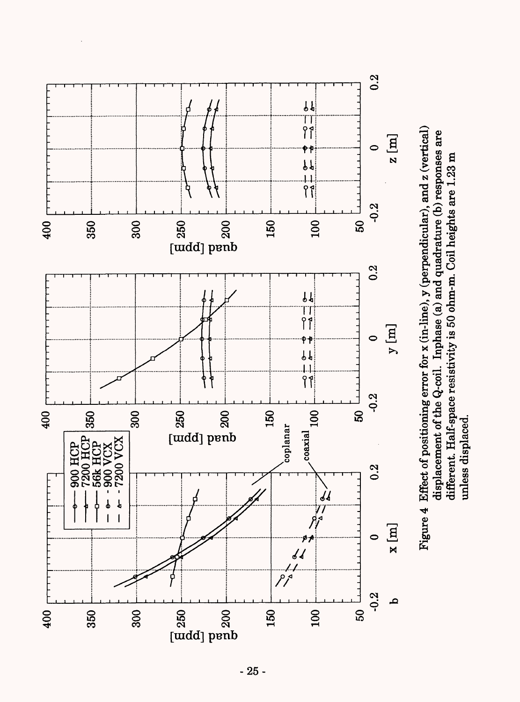

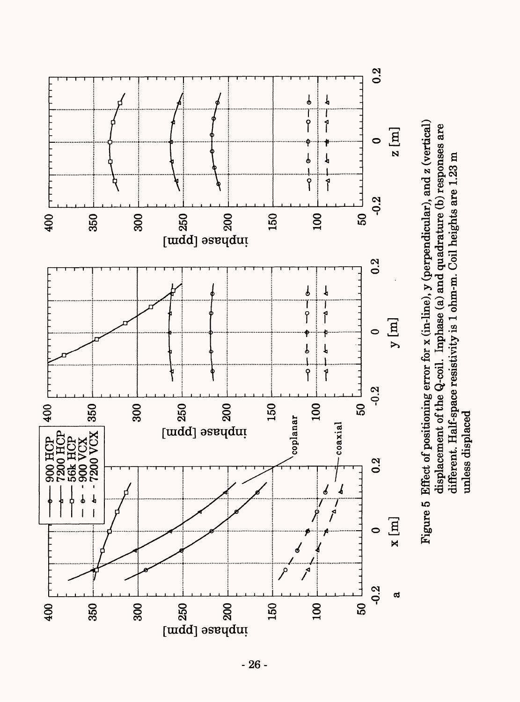

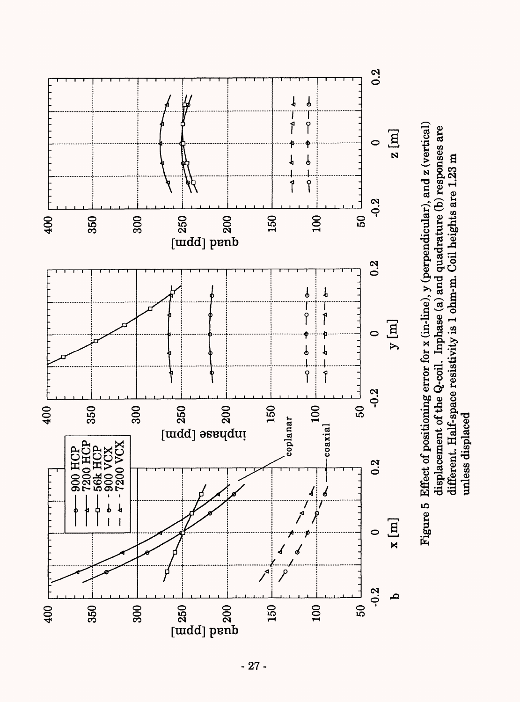